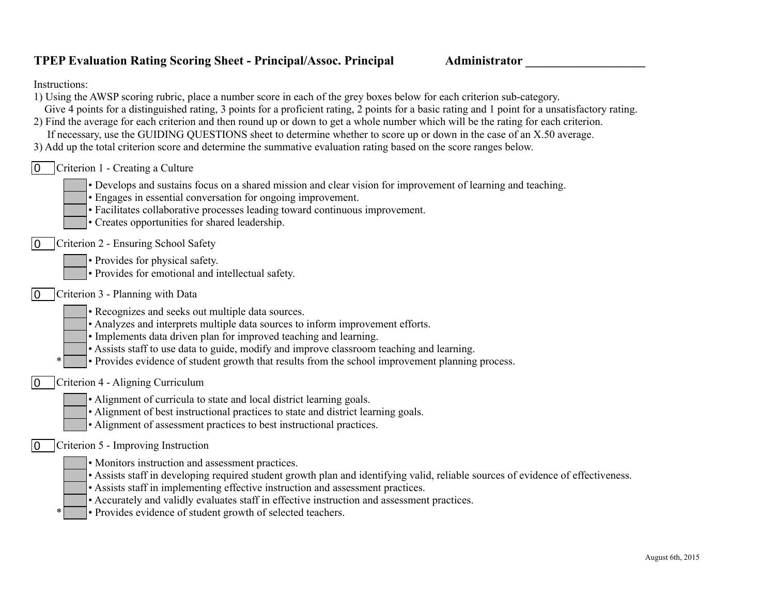## **TPEP Evaluation Rating Scoring Sheet - Principal/Assoc. Principal <b>Administrator**

Instructions:

| 1) Using the AWSP scoring rubric, place a number score in each of the grey boxes below for each criterion sub-category.                          |
|--------------------------------------------------------------------------------------------------------------------------------------------------|
| Give 4 points for a distinguished rating, 3 points for a proficient rating, 2 points for a basic rating and 1 point for a unsatisfactory rating. |
| 2) Find the average for each criterion and then round up or down to get a whole number which will be the rating for each criterion.              |
| If necessary, use the GUIDING QUESTIONS sheet to determine whether to score up or down in the case of an X.50 average.                           |
| 3) Add up the total criterion score and determine the summative evaluation rating based on the score ranges below.                               |
| Criterion 1 - Creating a Culture<br>$\mathbf{0}$                                                                                                 |
| • Develops and sustains focus on a shared mission and clear vision for improvement of learning and teaching.                                     |
| • Engages in essential conversation for ongoing improvement.                                                                                     |
| • Facilitates collaborative processes leading toward continuous improvement.                                                                     |
| • Creates opportunities for shared leadership.                                                                                                   |
| $\sim$<br>$\alpha$ , $\alpha$ , $\alpha$ , $\alpha$ , $\alpha$ , $\alpha$                                                                        |

- **0** Criterion 2 Ensuring School Safety
	- Provides for physical safety.
	- Provides for emotional and intellectual safety.
- Criterion 3 Planning with Data 0
	- Recognizes and seeks out multiple data sources.
	- Analyzes and interprets multiple data sources to inform improvement efforts.
	- Implements data driven plan for improved teaching and learning.
	- Assists staff to use data to guide, modify and improve classroom teaching and learning.
	- \* Provides evidence of student growth that results from the school improvement planning process.
- Criterion 4 Aligning Curriculum 0
	- Alignment of curricula to state and local district learning goals.
	- Alignment of best instructional practices to state and district learning goals.
	- Alignment of assessment practices to best instructional practices.

## Criterion 5 - Improving Instruction  $\overline{0}$

- Monitors instruction and assessment practices.
- Assists staff in developing required student growth plan and identifying valid, reliable sources of evidence of effectiveness.
- Assists staff in implementing effective instruction and assessment practices.
- Accurately and validly evaluates staff in effective instruction and assessment practices.
- Provides evidence of student growth of selected teachers.